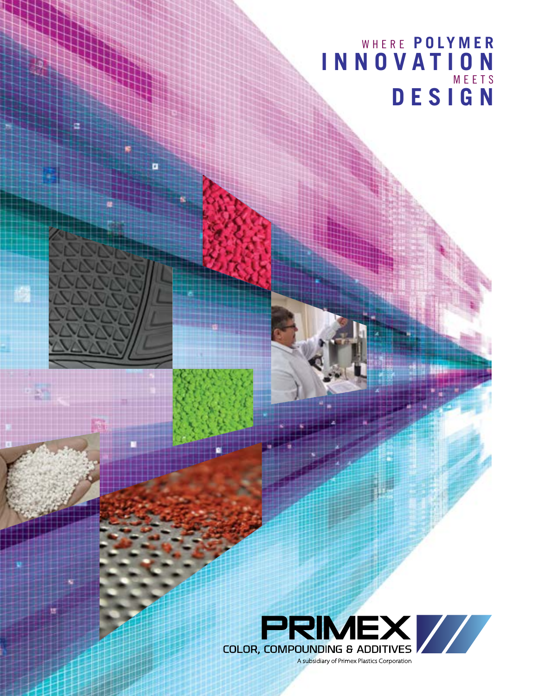## WHERE **POLYMER INNOVATION** MEETS **DESIGN**

œ

o

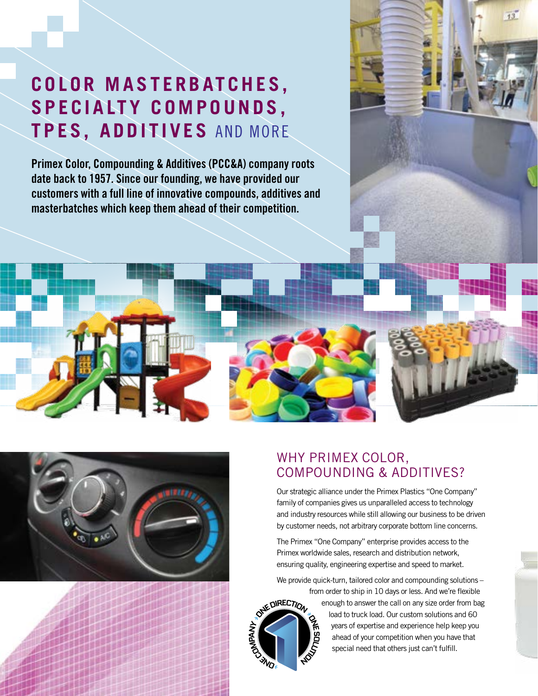# **C O L O R M A S T E R B AT C H E S ,**  S P E C I A LT Y COMPOUNDS, **TPES, ADDITIVES** AND MORE

**Primex Color, Compounding & Additives (PCC&A) company roots date back to 1957. Since our founding, we have provided our customers with a full line of innovative compounds, additives and masterbatches which keep them ahead of their competition.** 



## WHY PRIMEX COLOR, COMPOUNDING & ADDITIVES?

Our strategic alliance under the Primex Plastics "One Company" family of companies gives us unparalleled access to technology and industry resources while still allowing our business to be driven by customer needs, not arbitrary corporate bottom line concerns.

 $13$ 

The Primex "One Company" enterprise provides access to the Primex worldwide sales, research and distribution network, ensuring quality, engineering expertise and speed to market.

We provide quick-turn, tailored color and compounding solutions – from order to ship in 10 days or less. And we're flexible



enough to answer the call on any size order from bag load to truck load. Our custom solutions and 60 years of expertise and experience help keep you ahead of your competition when you have that special need that others just can't fulfill.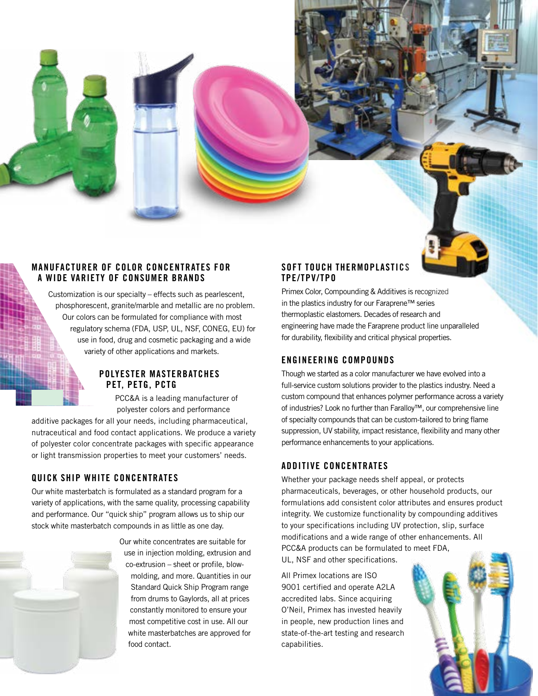

#### **MANUFACTURER OF COLOR CONCENTRATES FOR A WIDE VARIETY OF CONSUMER BRANDS**

Customization is our specialty – effects such as pearlescent, phosphorescent, granite/marble and metallic are no problem. Our colors can be formulated for compliance with most regulatory schema (FDA, USP, UL, NSF, CONEG, EU) for use in food, drug and cosmetic packaging and a wide variety of other applications and markets.

#### **POLYESTER MASTERBATCHES PET, PETG, PCTG**

PCC&A is a leading manufacturer of polyester colors and performance

additive packages for all your needs, including pharmaceutical, nutraceutical and food contact applications. We produce a variety of polyester color concentrate packages with specific appearance or light transmission properties to meet your customers' needs.

### **QUICK SHIP WHITE CONCENTRATES**

Our white masterbatch is formulated as a standard program for a variety of applications, with the same quality, processing capability and performance. Our "quick ship" program allows us to ship our stock white masterbatch compounds in as little as one day.



Our white concentrates are suitable for use in injection molding, extrusion and co-extrusion – sheet or profile, blowmolding, and more. Quantities in our Standard Quick Ship Program range from drums to Gaylords, all at prices constantly monitored to ensure your most competitive cost in use. All our white masterbatches are approved for food contact.

### **SOFT TOUCH THERMOPLASTICS TPE/TPV/TPO**

Primex Color, Compounding & Additives is recognized in the plastics industry for our Faraprene™ series thermoplastic elastomers. Decades of research and engineering have made the Faraprene product line unparalleled for durability, flexibility and critical physical properties.

### **ENGINEERING COMPOUNDS**

Though we started as a color manufacturer we have evolved into a full-service custom solutions provider to the plastics industry. Need a custom compound that enhances polymer performance across a variety of industries? Look no further than Faralloy™, our comprehensive line of specialty compounds that can be custom-tailored to bring flame suppression, UV stability, impact resistance, flexibility and many other performance enhancements to your applications.

### **ADDITIVE CONCENTRATES**

Whether your package needs shelf appeal, or protects pharmaceuticals, beverages, or other household products, our formulations add consistent color attributes and ensures product integrity. We customize functionality by compounding additives to your specifications including UV protection, slip, surface modifications and a wide range of other enhancements. All PCC&A products can be formulated to meet FDA,

UL, NSF and other specifications.

All Primex locations are ISO 9001 certified and operate A2LA accredited labs. Since acquiring O'Neil, Primex has invested heavily in people, new production lines and state-of-the-art testing and research capabilities.